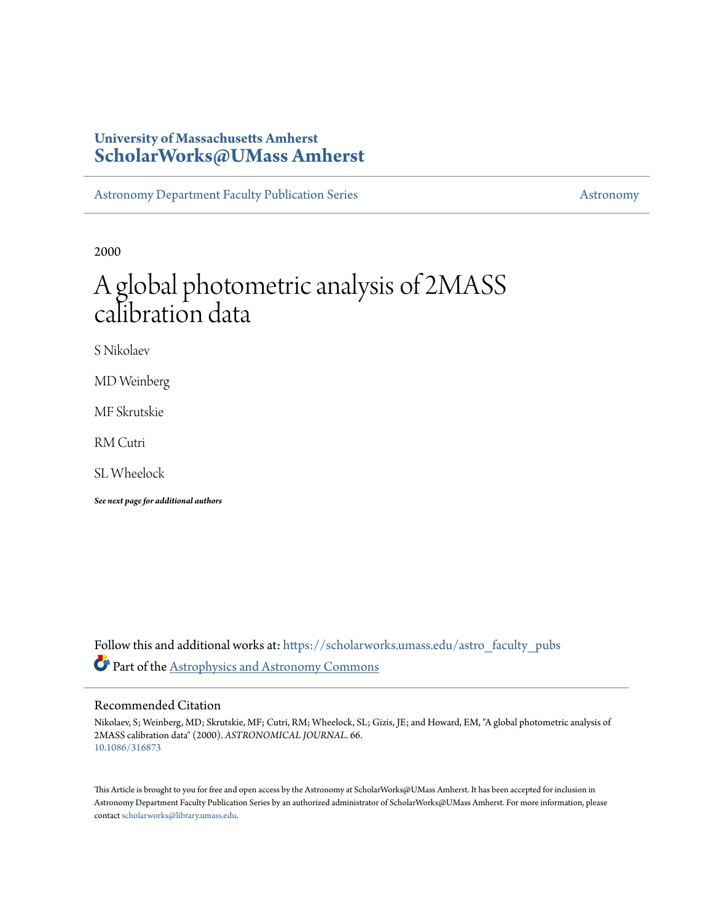# **University of Massachusetts Amherst [ScholarWorks@UMass Amherst](https://scholarworks.umass.edu?utm_source=scholarworks.umass.edu%2Fastro_faculty_pubs%2F66&utm_medium=PDF&utm_campaign=PDFCoverPages)**

[Astronomy Department Faculty Publication Series](https://scholarworks.umass.edu/astro_faculty_pubs?utm_source=scholarworks.umass.edu%2Fastro_faculty_pubs%2F66&utm_medium=PDF&utm_campaign=PDFCoverPages) [Astronomy](https://scholarworks.umass.edu/astro?utm_source=scholarworks.umass.edu%2Fastro_faculty_pubs%2F66&utm_medium=PDF&utm_campaign=PDFCoverPages)

2000

# A global photometric analysis of 2MASS calibration data

S Nikolaev

MD Weinberg

MF Skrutskie

RM Cutri

SL Wheelock

*See next page for additional authors*

Follow this and additional works at: [https://scholarworks.umass.edu/astro\\_faculty\\_pubs](https://scholarworks.umass.edu/astro_faculty_pubs?utm_source=scholarworks.umass.edu%2Fastro_faculty_pubs%2F66&utm_medium=PDF&utm_campaign=PDFCoverPages) Part of the [Astrophysics and Astronomy Commons](http://network.bepress.com/hgg/discipline/123?utm_source=scholarworks.umass.edu%2Fastro_faculty_pubs%2F66&utm_medium=PDF&utm_campaign=PDFCoverPages)

# Recommended Citation

Nikolaev, S; Weinberg, MD; Skrutskie, MF; Cutri, RM; Wheelock, SL; Gizis, JE; and Howard, EM, "A global photometric analysis of 2MASS calibration data" (2000). *ASTRONOMICAL JOURNAL*. 66. <10.1086/316873>

This Article is brought to you for free and open access by the Astronomy at ScholarWorks@UMass Amherst. It has been accepted for inclusion in Astronomy Department Faculty Publication Series by an authorized administrator of ScholarWorks@UMass Amherst. For more information, please contact [scholarworks@library.umass.edu](mailto:scholarworks@library.umass.edu).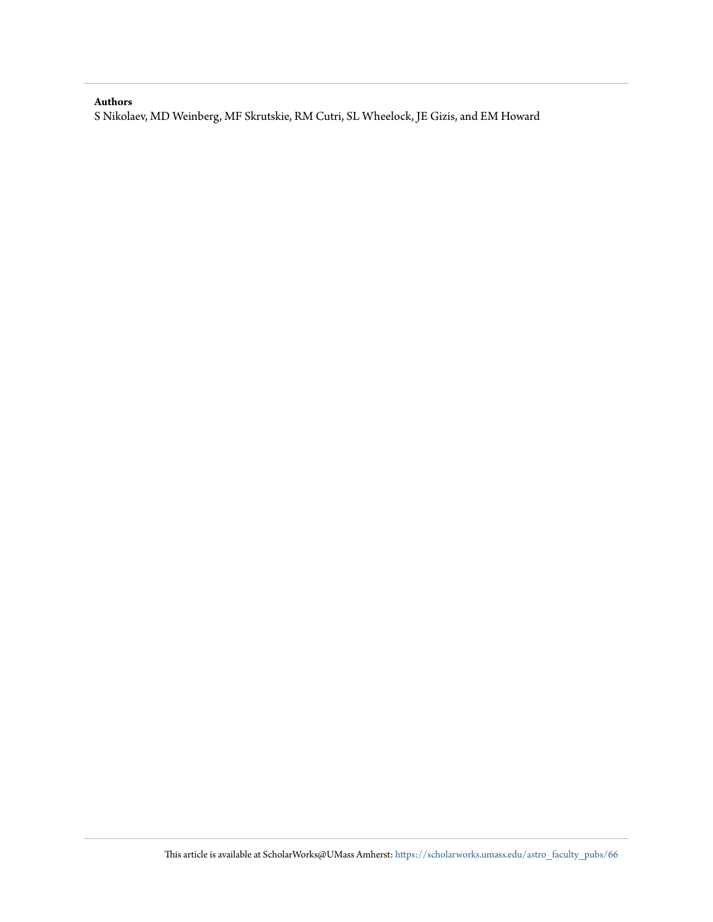# **Authors**

S Nikolaev, MD Weinberg, MF Skrutskie, RM Cutri, SL Wheelock, JE Gizis, and EM Howard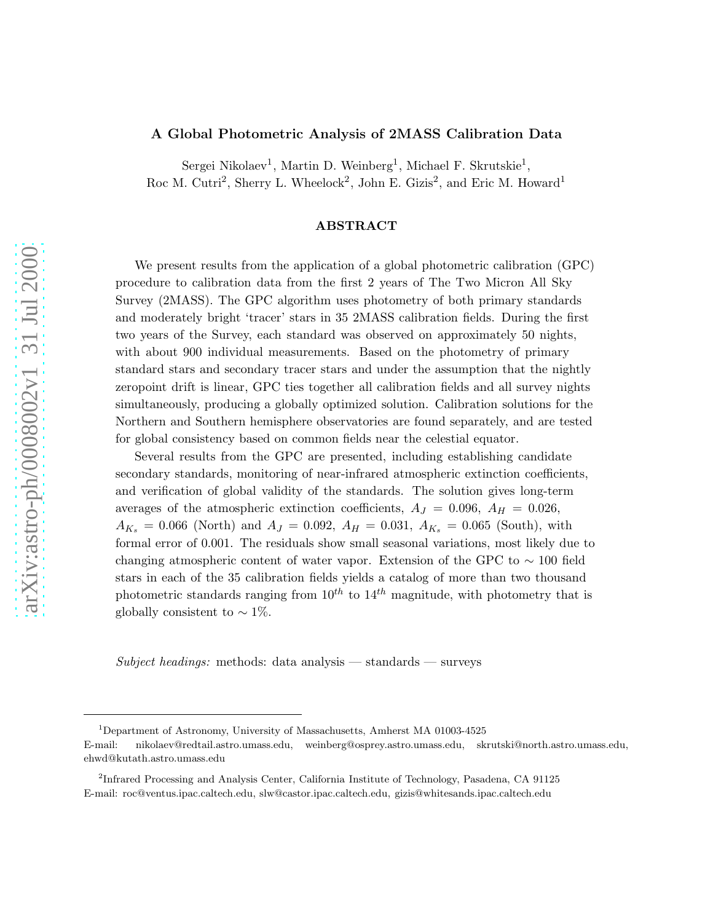# A Global Photometric Analysis of 2MASS Calibration Data

Sergei Nikolaev<sup>1</sup>, Martin D. Weinberg<sup>1</sup>, Michael F. Skrutskie<sup>1</sup>, Roc M. Cutri<sup>2</sup>, Sherry L. Wheelock<sup>2</sup>, John E. Gizis<sup>2</sup>, and Eric M. Howard<sup>1</sup>

# ABSTRACT

We present results from the application of a global photometric calibration (GPC) procedure to calibration data from the first 2 years of The Two Micron All Sky Survey (2MASS). The GPC algorithm uses photometry of both primary standards and moderately bright 'tracer' stars in 35 2MASS calibration fields. During the first two years of the Survey, each standard was observed on approximately 50 nights, with about 900 individual measurements. Based on the photometry of primary standard stars and secondary tracer stars and under the assumption that the nightly zeropoint drift is linear, GPC ties together all calibration fields and all survey nights simultaneously, producing a globally optimized solution. Calibration solutions for the Northern and Southern hemisphere observatories are found separately, and are tested for global consistency based on common fields near the celestial equator.

Several results from the GPC are presented, including establishing candidate secondary standards, monitoring of near-infrared atmospheric extinction coefficients, and verification of global validity of the standards. The solution gives long-term averages of the atmospheric extinction coefficients,  $A_J = 0.096, A_H = 0.026,$  $A_{K_s} = 0.066$  (North) and  $A_J = 0.092$ ,  $A_H = 0.031$ ,  $A_{K_s} = 0.065$  (South), with formal error of 0.001. The residuals show small seasonal variations, most likely due to changing atmospheric content of water vapor. Extension of the GPC to  $\sim$  100 field stars in each of the 35 calibration fields yields a catalog of more than two thousand photometric standards ranging from  $10^{th}$  to  $14^{th}$  magnitude, with photometry that is globally consistent to  $\sim 1\%$ .

*Subject headings:* methods: data analysis — standards — surveys

<sup>1</sup>Department of Astronomy, University of Massachusetts, Amherst MA 01003-4525

E-mail: nikolaev@redtail.astro.umass.edu, weinberg@osprey.astro.umass.edu, skrutski@north.astro.umass.edu, ehwd@kutath.astro.umass.edu

<sup>2</sup> Infrared Processing and Analysis Center, California Institute of Technology, Pasadena, CA 91125 E-mail: roc@ventus.ipac.caltech.edu, slw@castor.ipac.caltech.edu, gizis@whitesands.ipac.caltech.edu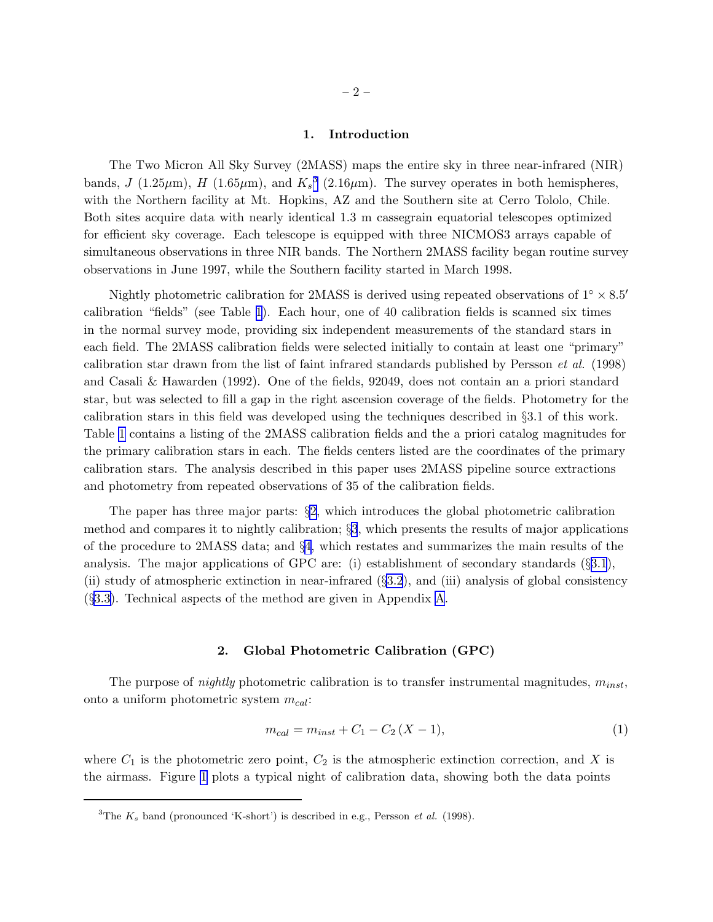#### 1. Introduction

<span id="page-3-0"></span>The Two Micron All Sky Survey (2MASS) maps the entire sky in three near-infrared (NIR) bands, J (1.25 $\mu$ m), H (1.65 $\mu$ m), and  $K_s^3$  (2.16 $\mu$ m). The survey operates in both hemispheres, with the Northern facility at Mt. Hopkins, AZ and the Southern site at Cerro Tololo, Chile. Both sites acquire data with nearly identical 1.3 m cassegrain equatorial telescopes optimized for efficient sky coverage. Each telescope is equipped with three NICMOS3 arrays capable of simultaneous observations in three NIR bands. The Northern 2MASS facility began routine survey observations in June 1997, while the Southern facility started in March 1998.

Nightly photometric calibration for 2MASS is derived using repeated observations of  $1° \times 8.5'$ calibration "fields" (see Table [1](#page-4-0)). Each hour, one of 40 calibration fields is scanned six times in the normal survey mode, providing six independent measurements of the standard stars in each field. The 2MASS calibration fields were selected initially to contain at least one "primary" calibration star drawn from the list of faint infrared standards published by Persson *et al.* (1998) and Casali & Hawarden (1992). One of the fields, 92049, does not contain an a priori standard star, but was selected to fill a gap in the right ascension coverage of the fields. Photometry for the calibration stars in this field was developed using the techniques described in §3.1 of this work. Table [1](#page-4-0) contains a listing of the 2MASS calibration fields and the a priori catalog magnitudes for the primary calibration stars in each. The fields centers listed are the coordinates of the primary calibration stars. The analysis described in this paper uses 2MASS pipeline source extractions and photometry from repeated observations of 35 of the calibration fields.

The paper has three major parts: §2, which introduces the global photometric calibration method and compares it to nightly calibration; §[3](#page-8-0), which presents the results of major applications of the procedure to 2MASS data; and §[4](#page-14-0), which restates and summarizes the main results of the analysis. The major applications of GPC are: (i) establishment of secondary standards  $(\S 3.1)$  $(\S 3.1)$  $(\S 3.1)$ , (ii) study of atmospheric extinction in near-infrared (§[3.2](#page-9-0)), and (iii) analysis of global consistency (§[3.3\)](#page-11-0). Technical aspects of the method are given in Appendix [A](#page-18-0).

#### 2. Global Photometric Calibration (GPC)

The purpose of *nightly* photometric calibration is to transfer instrumental magnitudes,  $m_{inst}$ , onto a uniform photometric system  $m_{cal}$ :

$$
m_{cal} = m_{inst} + C_1 - C_2 (X - 1), \tag{1}
$$

where  $C_1$  is the photometric zero point,  $C_2$  is the atmospheric extinction correction, and X is the airmass. Figure [1](#page-6-0) plots a typical night of calibration data, showing both the data points

<sup>&</sup>lt;sup>3</sup>The  $K_s$  band (pronounced 'K-short') is described in e.g., Persson *et al.* (1998).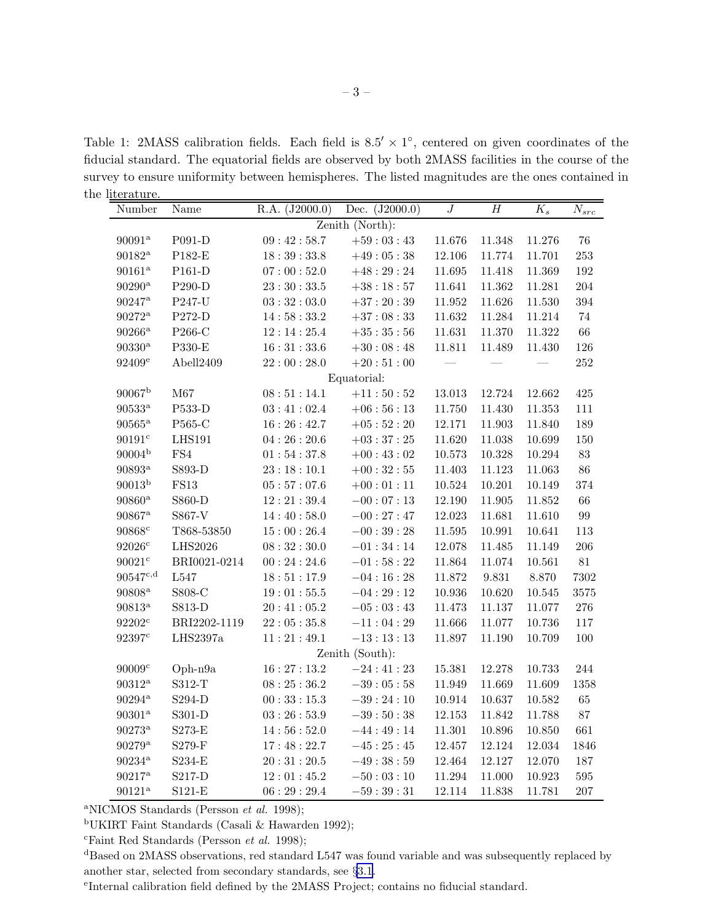<span id="page-4-0"></span>Table 1: 2MASS calibration fields. Each field is  $8.5' \times 1^{\circ}$ , centered on given coordinates of the fiducial standard. The equatorial fields are observed by both 2MASS facilities in the course of the survey to ensure uniformity between hemispheres. The listed magnitudes are the ones contained in the literature.

| Number                            | Name                    | R.A. (J2000.0) | Dec. $(J2000.0)$ | $\boldsymbol{J}$ | $\boldsymbol{H}$ | $K_s$      |           |  |  |
|-----------------------------------|-------------------------|----------------|------------------|------------------|------------------|------------|-----------|--|--|
|                                   |                         |                | Zenith (North):  |                  |                  |            | $N_{src}$ |  |  |
| $90091^{\rm a}$                   | $P091-D$                | 09:42:58.7     | $+59:03:43$      | 11.676           | 11.348           | 11.276     | $76\,$    |  |  |
| $90182^{\rm a}$                   | $P182-E$                | 18:39:33.8     | $+49:05:38$      | 12.106           | 11.774           | 11.701     | 253       |  |  |
| $90161^{\rm {a}}$                 | $P161-D$                | 07:00:52.0     | $+48:29:24$      | 11.695           | 11.418           | 11.369     | $192\,$   |  |  |
| $90290^{\rm a}$                   | $P290-D$                | $23:30:33.5$   | $+38:18:57$      | 11.641           | $11.362\,$       | 11.281     | $\,204$   |  |  |
| $90247^{\rm a}$                   | P247-U                  | 03:32:03.0     | $+37:20:39$      | $11.952\,$       | $11.626\,$       | 11.530     | 394       |  |  |
| $90272^{\rm a}$                   | P272-D                  | 14:58:33.2     | $+37:08:33$      | 11.632           | 11.284           | 11.214     | $74\,$    |  |  |
|                                   |                         |                |                  |                  |                  |            |           |  |  |
| $90266^{\rm a}$                   | $P266-C$                | 12:14:25.4     | $+35:35:56$      | 11.631           | 11.370           | 11.322     | $66\,$    |  |  |
| $90330^{\rm a}$                   | P330-E                  | 16:31:33.6     | $+30:08:48$      | 11.811           | 11.489           | 11.430     | 126       |  |  |
| $92409^{\rm e}$                   | Abell2409               | 22:00:28.0     | $+20:51:00$      |                  |                  |            | $252\,$   |  |  |
| Equatorial:<br>90067 <sup>b</sup> |                         |                |                  |                  |                  |            |           |  |  |
|                                   | $\rm M67$               | 08:51:14.1     | $+11:50:52$      | 13.013           | 12.724           | 12.662     | 425       |  |  |
| $90533^{\rm a}$                   | P533-D                  | 03:41:02.4     | $+06:56:13$      | 11.750           | 11.430           | 11.353     | 111       |  |  |
| $90565^{\rm a}$                   | P565-C                  | 16:26:42.7     | $+05:52:20$      | 12.171           | 11.903           | 11.840     | $189\,$   |  |  |
| $90191^{\rm c}$                   | <b>LHS191</b>           | 04:26:20.6     | $+03:37:25$      | 11.620           | 11.038           | 10.699     | 150       |  |  |
| 90004 <sup>b</sup>                | ${\rm FS4}$             | 01:54:37.8     | $+00:43:02$      | 10.573           | 10.328           | 10.294     | $83\,$    |  |  |
| $90893^{\rm a}$                   | S893-D                  | $23:18:10.1\,$ | $+00:32:55$      | 11.403           | $11.123\,$       | 11.063     | $86\,$    |  |  |
| 90013 <sup>b</sup>                | FS13                    | 05:57:07.6     | $+00:01:11$      | 10.524           | 10.201           | 10.149     | 374       |  |  |
| $90860^{\rm a}$                   | S860-D                  | 12:21:39.4     | $-00:07:13$      | 12.190           | 11.905           | 11.852     | 66        |  |  |
| $90867^{\rm a}$                   | S867-V                  | 14:40:58.0     | $-00:27:47$      | 12.023           | 11.681           | 11.610     | $99\,$    |  |  |
| $90868^{\rm c}$                   | T868-53850              | 15:00:26.4     | $-00:39:28$      | 11.595           | $10.991\,$       | 10.641     | 113       |  |  |
| $92026^{\rm c}$                   | LHS2026                 | 08:32:30.0     | $-01:34:14$      | $12.078\,$       | 11.485           | 11.149     | $206\,$   |  |  |
| $90021$ <sup>c</sup>              | BRI0021-0214            | 00:24:24.6     | $-01:58:22$      | 11.864           | 11.074           | 10.561     | $81\,$    |  |  |
| $90547^{\text{c,d}}$              | L547                    | 18:51:17.9     | $-04:16:28$      | 11.872           | 9.831            | 8.870      | 7302      |  |  |
| $90808^{\rm a}$                   | $\,$ S808-C $\,$        | $19:01:55.5$   | $-04:29:12$      | 10.936           | 10.620           | $10.545\,$ | $3575\,$  |  |  |
| $90813^{\rm a}$                   | S813-D                  | 20:41:05.2     | $-05:03:43$      | 11.473           | 11.137           | 11.077     | $276\,$   |  |  |
| $92202^{\rm c}$                   | BRI2202-1119            | $22:05:35.8$   | $-11:04:29$      | 11.666           | 11.077           | 10.736     | 117       |  |  |
| 92397 <sup>c</sup>                | LHS2397a                | 11:21:49.1     | $-13:13:13$      | 11.897           | 11.190           | 10.709     | 100       |  |  |
| Zenith (South):                   |                         |                |                  |                  |                  |            |           |  |  |
| $90009^{\rm c}$                   | Oph-n9a                 | $16:27:13.2$   | $-24:41:23$      | 15.381           | 12.278           | 10.733     | $\bf 244$ |  |  |
| $90312^{\rm a}$                   | $S312-T$                | 08:25:36.2     | $-39:05:58$      | 11.949           | 11.669           | 11.609     | 1358      |  |  |
| $90294^{\rm a}$                   | S294-D                  | 00:33:15.3     | $-39:24:10$      | 10.914           | 10.637           | 10.582     | $65\,$    |  |  |
| $90301^{\rm {a}}$                 | $S301-D$                | $03:26:53.9$   | $-39:50:38$      | 12.153           | 11.842           | 11.788     | $87\,$    |  |  |
| $90273^{\rm a}$                   | $S273-E$                | 14:56:52.0     | $-44:49:14$      | 11.301           | 10.896           | 10.850     | 661       |  |  |
| $90279^{\rm a}$                   | $\operatorname{S279-F}$ | 17:48:22.7     | $-45:25:45$      | 12.457           | 12.124           | 12.034     | 1846      |  |  |
| $90234^{\rm a}$                   | S234-E                  | 20:31:20.5     | $-49:38:59$      | 12.464           | 12.127           | 12.070     | 187       |  |  |
| $90217^{\mathrm{a}}$              | S217-D                  | 12:01:45.2     | $-50:03:10$      | 11.294           | 11.000           | 10.923     | $595\,$   |  |  |
| $90121^{\rm a}$                   | $S121-E$                | 06:29:29.4     | $-59:39:31$      | 12.114           | 11.838           | 11.781     | 207       |  |  |

<sup>a</sup>NICMOS Standards (Persson *et al.* 1998);

<sup>b</sup>UKIRT Faint Standards (Casali & Hawarden 1992);

<sup>c</sup>Faint Red Standards (Persson *et al.* 1998);

<sup>d</sup>Based on 2MASS observations, red standard L547 was found variable and was subsequently replaced by another star, selected from secondary standards, see §[3.1](#page-8-0).

e Internal calibration field defined by the 2MASS Project; contains no fiducial standard.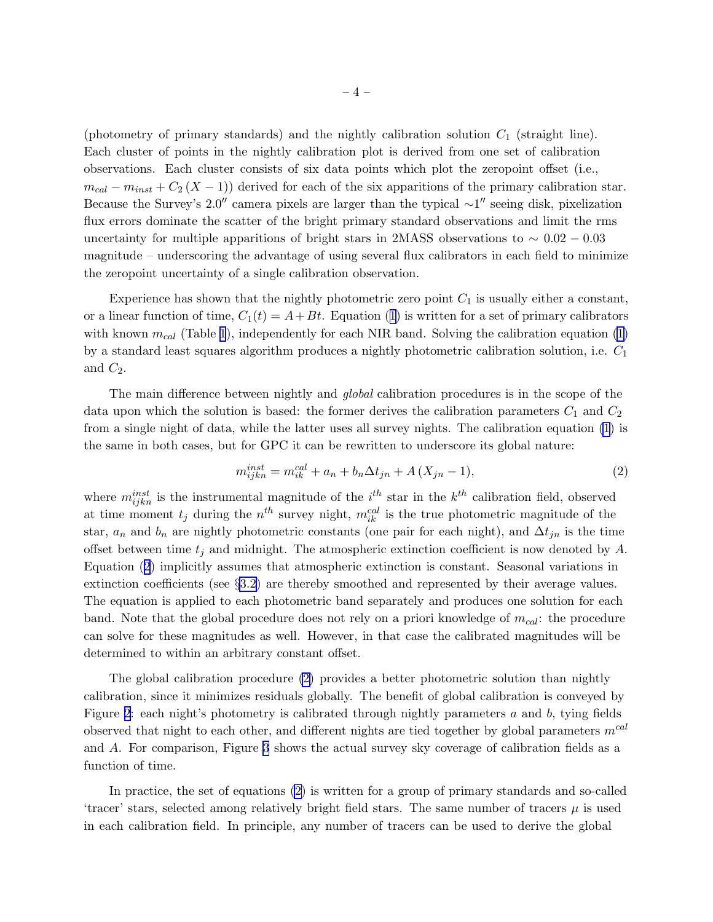<span id="page-5-0"></span>(photometry of primary standards) and the nightly calibration solution  $C_1$  (straight line). Each cluster of points in the nightly calibration plot is derived from one set of calibration observations. Each cluster consists of six data points which plot the zeropoint offset (i.e.,  $m_{cal} - m_{inst} + C_2 (X - 1)$  derived for each of the six apparitions of the primary calibration star. Because the Survey's 2.0" camera pixels are larger than the typical ~1" seeing disk, pixelization flux errors dominate the scatter of the bright primary standard observations and limit the rms uncertainty for multiple apparitions of bright stars in 2MASS observations to  $\sim 0.02 - 0.03$ magnitude – underscoring the advantage of using several flux calibrators in each field to minimize the zeropoint uncertainty of a single calibration observation.

Experience has shown that the nightly photometric zero point  $C_1$  is usually either a constant, or a linear function of time,  $C_1(t) = A + Bt$  $C_1(t) = A + Bt$  $C_1(t) = A + Bt$ . Equation (1) is written for a set of primary calibrators with known  $m_{cal}$  (Table [1](#page-4-0)), independently for each NIR band. Solving the calibration equation [\(1\)](#page-3-0) by a standard least squares algorithm produces a nightly photometric calibration solution, i.e. C<sup>1</sup> and  $C_2$ .

The main difference between nightly and *global* calibration procedures is in the scope of the data upon which the solution is based: the former derives the calibration parameters  $C_1$  and  $C_2$ from a single night of data, while the latter uses all survey nights. The calibration equation [\(1\)](#page-3-0) is the same in both cases, but for GPC it can be rewritten to underscore its global nature:

$$
m_{ijkn}^{inst} = m_{ik}^{cal} + a_n + b_n \Delta t_{jn} + A (X_{jn} - 1),
$$
\n(2)

where  $m_{ijkn}^{inst}$  is the instrumental magnitude of the  $i^{th}$  star in the  $k^{th}$  calibration field, observed at time moment  $t_j$  during the  $n^{th}$  survey night,  $m_{ik}^{cal}$  is the true photometric magnitude of the star,  $a_n$  and  $b_n$  are nightly photometric constants (one pair for each night), and  $\Delta t_{in}$  is the time offset between time  $t_j$  and midnight. The atmospheric extinction coefficient is now denoted by A. Equation (2) implicitly assumes that atmospheric extinction is constant. Seasonal variations in extinction coefficients (see §[3.2](#page-9-0)) are thereby smoothed and represented by their average values. The equation is applied to each photometric band separately and produces one solution for each band. Note that the global procedure does not rely on a priori knowledge of  $m_{cal}$ : the procedure can solve for these magnitudes as well. However, in that case the calibrated magnitudes will be determined to within an arbitrary constant offset.

The global calibration procedure (2) provides a better photometric solution than nightly calibration, since it minimizes residuals globally. The benefit of global calibration is conveyed by Figure [2](#page-7-0): each night's photometry is calibrated through nightly parameters  $a$  and  $b$ , tying fields observed that night to each other, and different nights are tied together by global parameters  $m^{cal}$ and A. For comparison, Figure [3](#page-7-0) shows the actual survey sky coverage of calibration fields as a function of time.

In practice, the set of equations (2) is written for a group of primary standards and so-called 'tracer' stars, selected among relatively bright field stars. The same number of tracers  $\mu$  is used in each calibration field. In principle, any number of tracers can be used to derive the global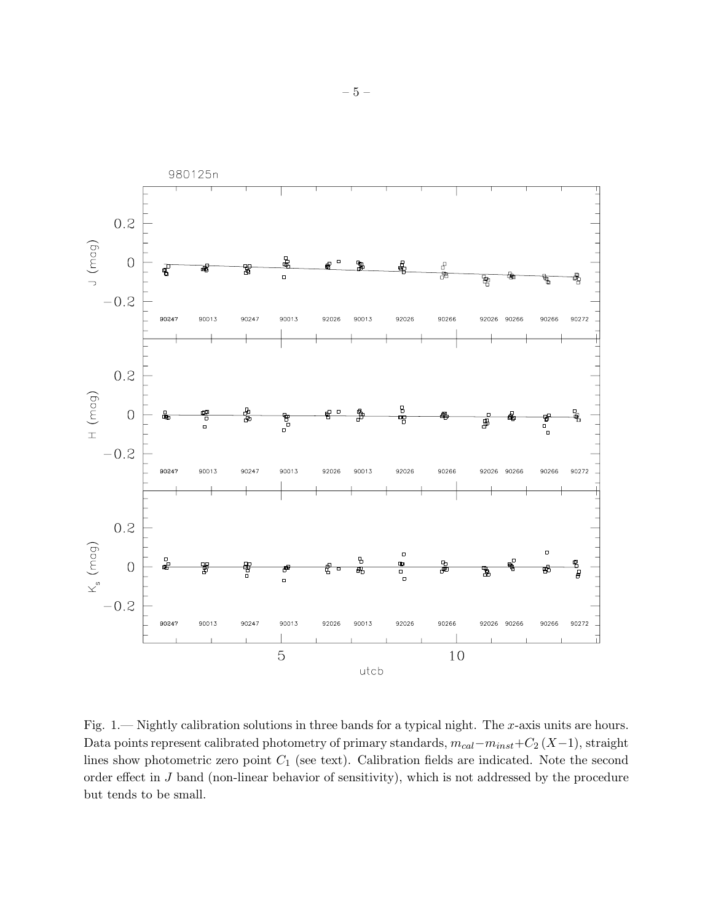<span id="page-6-0"></span>

Fig. 1.— Nightly calibration solutions in three bands for a typical night. The x-axis units are hours. Data points represent calibrated photometry of primary standards,  $m_{cal}-m_{inst}+C_2(X-1)$ , straight lines show photometric zero point  $C_1$  (see text). Calibration fields are indicated. Note the second order effect in J band (non-linear behavior of sensitivity), which is not addressed by the procedure but tends to be small.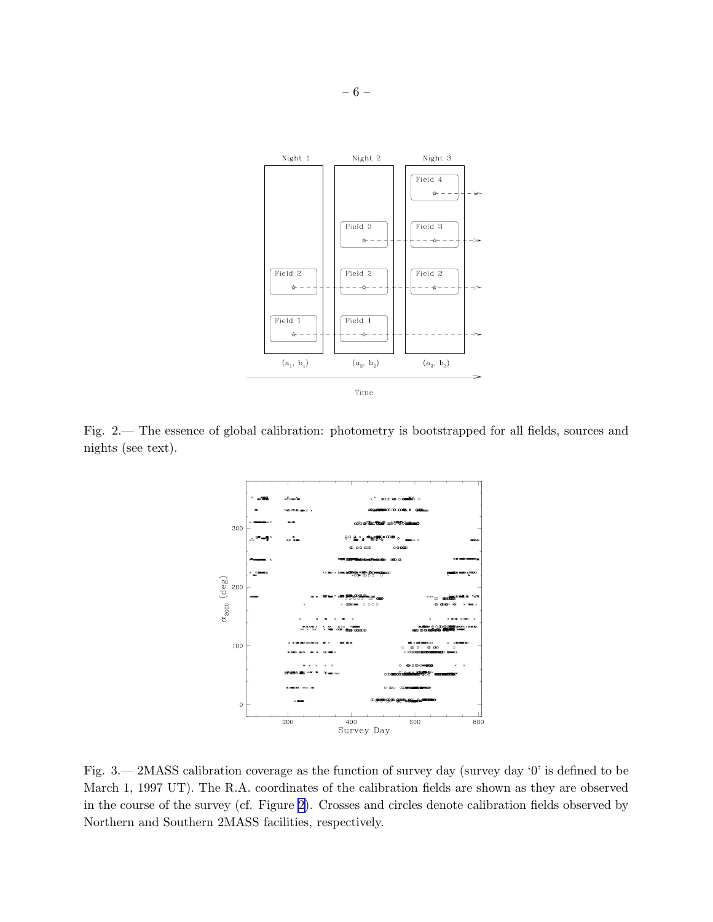<span id="page-7-0"></span>

Fig. 2.— The essence of global calibration: photometry is bootstrapped for all fields, sources and nights (see text).



Fig. 3.— 2MASS calibration coverage as the function of survey day (survey day '0' is defined to be March 1, 1997 UT). The R.A. coordinates of the calibration fields are shown as they are observed in the course of the survey (cf. Figure 2). Crosses and circles denote calibration fields observed by Northern and Southern 2MASS facilities, respectively.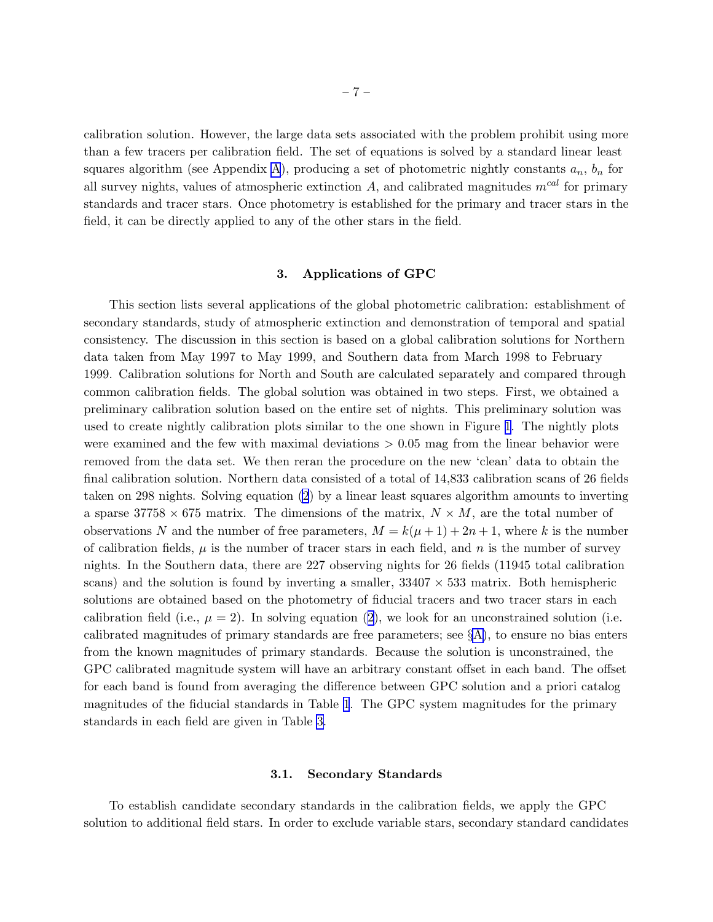<span id="page-8-0"></span>calibration solution. However, the large data sets associated with the problem prohibit using more than a few tracers per calibration field. The set of equations is solved by a standard linear least squares algorithm (see [A](#page-18-0)ppendix A), producing a set of photometric nightly constants  $a_n$ ,  $b_n$  for all survey nights, values of atmospheric extinction  $A$ , and calibrated magnitudes  $m^{cal}$  for primary standards and tracer stars. Once photometry is established for the primary and tracer stars in the field, it can be directly applied to any of the other stars in the field.

# 3. Applications of GPC

This section lists several applications of the global photometric calibration: establishment of secondary standards, study of atmospheric extinction and demonstration of temporal and spatial consistency. The discussion in this section is based on a global calibration solutions for Northern data taken from May 1997 to May 1999, and Southern data from March 1998 to February 1999. Calibration solutions for North and South are calculated separately and compared through common calibration fields. The global solution was obtained in two steps. First, we obtained a preliminary calibration solution based on the entire set of nights. This preliminary solution was used to create nightly calibration plots similar to the one shown in Figure [1.](#page-6-0) The nightly plots were examined and the few with maximal deviations  $> 0.05$  mag from the linear behavior were removed from the data set. We then reran the procedure on the new 'clean' data to obtain the final calibration solution. Northern data consisted of a total of 14,833 calibration scans of 26 fields taken on 298 nights. Solving equation [\(2](#page-5-0)) by a linear least squares algorithm amounts to inverting a sparse 37758  $\times$  675 matrix. The dimensions of the matrix,  $N \times M$ , are the total number of observations N and the number of free parameters,  $M = k(\mu + 1) + 2n + 1$ , where k is the number of calibration fields,  $\mu$  is the number of tracer stars in each field, and n is the number of survey nights. In the Southern data, there are 227 observing nights for 26 fields (11945 total calibration scans) and the solution is found by inverting a smaller,  $33407 \times 533$  matrix. Both hemispheric solutions are obtained based on the photometry of fiducial tracers and two tracer stars in each calibration field (i.e.,  $\mu = 2$  $\mu = 2$ ). In solving equation (2), we look for an unconstrained solution (i.e. calibrated magnitudes of primary standards are free parameters; see §[A\)](#page-18-0), to ensure no bias enters from the known magnitudes of primary standards. Because the solution is unconstrained, the GPC calibrated magnitude system will have an arbitrary constant offset in each band. The offset for each band is found from averaging the difference between GPC solution and a priori catalog magnitudes of the fiducial standards in Table [1](#page-4-0). The GPC system magnitudes for the primary standards in each field are given in Table [3.](#page-20-0)

#### 3.1. Secondary Standards

To establish candidate secondary standards in the calibration fields, we apply the GPC solution to additional field stars. In order to exclude variable stars, secondary standard candidates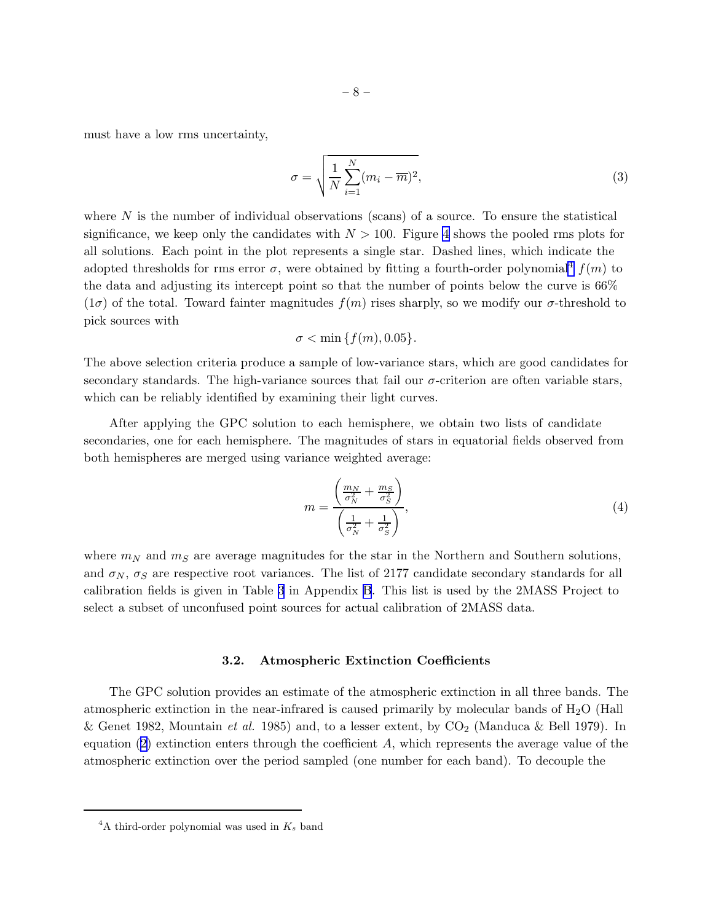<span id="page-9-0"></span>must have a low rms uncertainty,

$$
\sigma = \sqrt{\frac{1}{N} \sum_{i=1}^{N} (m_i - \overline{m})^2},\tag{3}
$$

where  $N$  is the number of individual observations (scans) of a source. To ensure the statistical significance, we keep only the candidates with  $N > 100$ . Figure [4](#page-10-0) shows the pooled rms plots for all solutions. Each point in the plot represents a single star. Dashed lines, which indicate the adopted thresholds for rms error  $\sigma$ , were obtained by fitting a fourth-order polynomial<sup>4</sup>  $f(m)$  to the data and adjusting its intercept point so that the number of points below the curve is 66%  $(1\sigma)$  of the total. Toward fainter magnitudes  $f(m)$  rises sharply, so we modify our  $\sigma$ -threshold to pick sources with

$$
\sigma < \min\left\{f(m), 0.05\right\}.
$$

The above selection criteria produce a sample of low-variance stars, which are good candidates for secondary standards. The high-variance sources that fail our  $\sigma$ -criterion are often variable stars, which can be reliably identified by examining their light curves.

After applying the GPC solution to each hemisphere, we obtain two lists of candidate secondaries, one for each hemisphere. The magnitudes of stars in equatorial fields observed from both hemispheres are merged using variance weighted average:

$$
m = \frac{\left(\frac{m_N}{\sigma_N^2} + \frac{m_S}{\sigma_S^2}\right)}{\left(\frac{1}{\sigma_N^2} + \frac{1}{\sigma_S^2}\right)},\tag{4}
$$

where  $m_N$  and  $m_S$  are average magnitudes for the star in the Northern and Southern solutions, and  $\sigma_N$ ,  $\sigma_S$  are respective root variances. The list of 2177 candidate secondary standards for all calibration fields is given in Table [3](#page-20-0) in Appendix [B](#page-19-0). This list is used by the 2MASS Project to select a subset of unconfused point sources for actual calibration of 2MASS data.

#### 3.2. Atmospheric Extinction Coefficients

The GPC solution provides an estimate of the atmospheric extinction in all three bands. The atmospheric extinction in the near-infrared is caused primarily by molecular bands of  $H_2O$  (Hall & Genet 1982, Mountain *et al.* 1985) and, to a lesser extent, by  $CO_2$  (Manduca & Bell 1979). In equation  $(2)$  $(2)$  $(2)$  extinction enters through the coefficient A, which represents the average value of the atmospheric extinction over the period sampled (one number for each band). To decouple the

<sup>&</sup>lt;sup>4</sup>A third-order polynomial was used in  $K_s$  band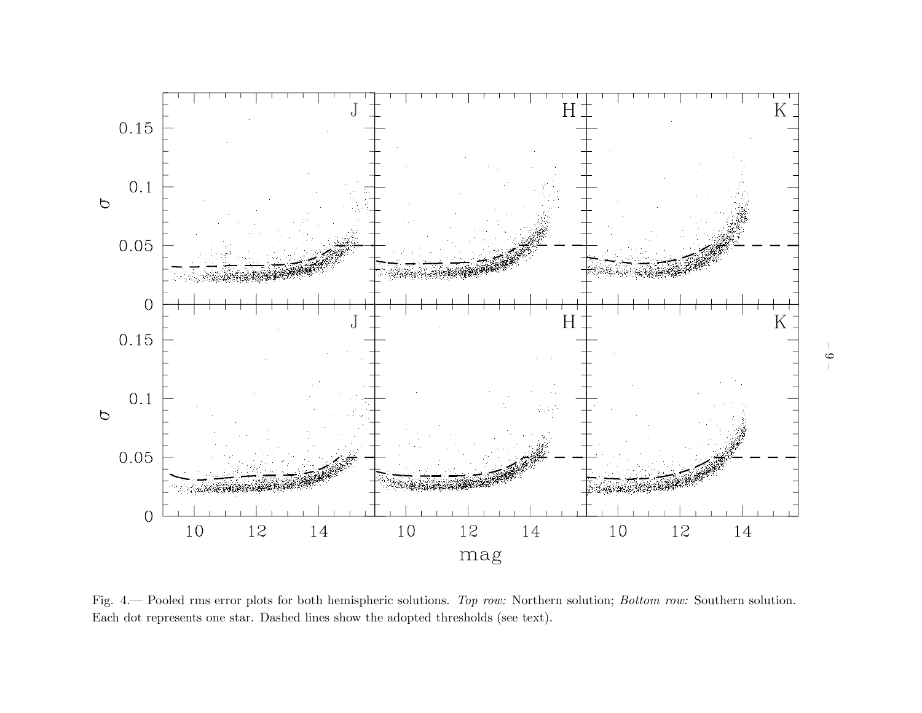<span id="page-10-0"></span>

Fig. 4.— Pooled rms error <sup>p</sup>lots for both hemispheric solutions. *Top row:* Northern solution; *Bottom row:* Southern solution. Each dot represents one star. Dashed lines show the adopted thresholds (see text).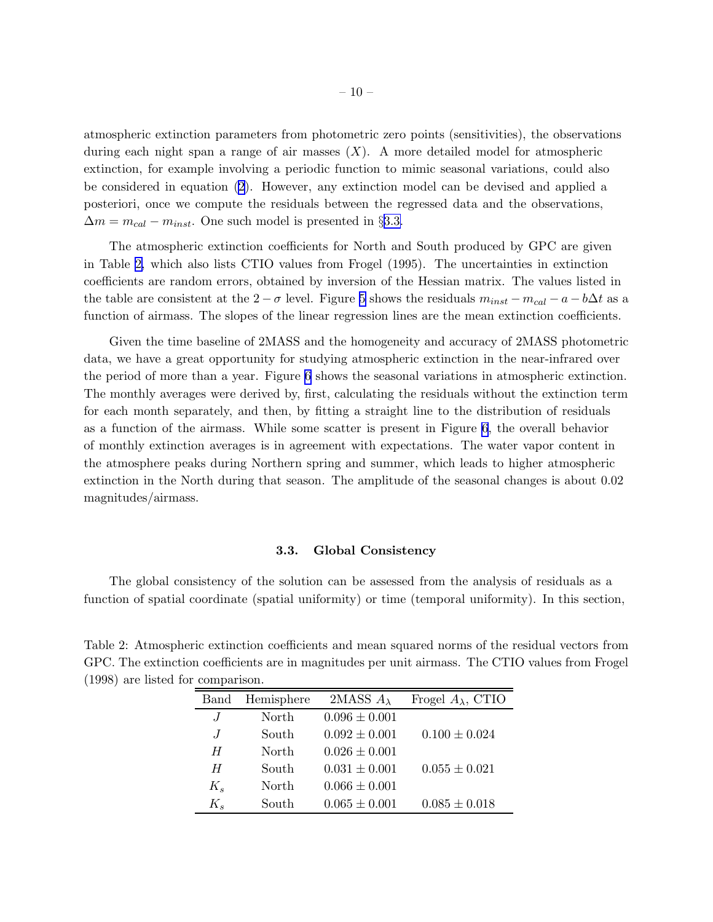<span id="page-11-0"></span>atmospheric extinction parameters from photometric zero points (sensitivities), the observations during each night span a range of air masses  $(X)$ . A more detailed model for atmospheric extinction, for example involving a periodic function to mimic seasonal variations, could also be considered in equation ([2](#page-5-0)). However, any extinction model can be devised and applied a posteriori, once we compute the residuals between the regressed data and the observations,  $\Delta m = m_{cal} - m_{inst}$ . One such model is presented in §3.3.

The atmospheric extinction coefficients for North and South produced by GPC are given in Table 2, which also lists CTIO values from Frogel (1995). The uncertainties in extinction coefficients are random errors, obtained by inversion of the Hessian matrix. The values listed in the table are consistent at the 2 −  $\sigma$  level. Figure [5](#page-12-0) shows the residuals  $m_{inst} - m_{cal} - a - b\Delta t$  as a function of airmass. The slopes of the linear regression lines are the mean extinction coefficients.

Given the time baseline of 2MASS and the homogeneity and accuracy of 2MASS photometric data, we have a great opportunity for studying atmospheric extinction in the near-infrared over the period of more than a year. Figure [6](#page-13-0) shows the seasonal variations in atmospheric extinction. The monthly averages were derived by, first, calculating the residuals without the extinction term for each month separately, and then, by fitting a straight line to the distribution of residuals as a function of the airmass. While some scatter is present in Figure [6](#page-13-0), the overall behavior of monthly extinction averages is in agreement with expectations. The water vapor content in the atmosphere peaks during Northern spring and summer, which leads to higher atmospheric extinction in the North during that season. The amplitude of the seasonal changes is about 0.02 magnitudes/airmass.

#### 3.3. Global Consistency

The global consistency of the solution can be assessed from the analysis of residuals as a function of spatial coordinate (spatial uniformity) or time (temporal uniformity). In this section,

Table 2: Atmospheric extinction coefficients and mean squared norms of the residual vectors from GPC. The extinction coefficients are in magnitudes per unit airmass. The CTIO values from Frogel (1998) are listed for comparison.

| $\frac{1}{2}$ |            |                     |                             |  |  |  |  |
|---------------|------------|---------------------|-----------------------------|--|--|--|--|
| Band          | Hemisphere | 2MASS $A_{\lambda}$ | Frogel $A_{\lambda}$ , CTIO |  |  |  |  |
| $\cdot$       | North      | $0.096 \pm 0.001$   |                             |  |  |  |  |
| $\cdot$       | South      | $0.092 \pm 0.001$   | $0.100 \pm 0.024$           |  |  |  |  |
| H             | North      | $0.026 \pm 0.001$   |                             |  |  |  |  |
| H             | South      | $0.031 \pm 0.001$   | $0.055 \pm 0.021$           |  |  |  |  |
| $K_s$         | North      | $0.066 \pm 0.001$   |                             |  |  |  |  |
| $K_s$         | South      | $0.065 \pm 0.001$   | $0.085 \pm 0.018$           |  |  |  |  |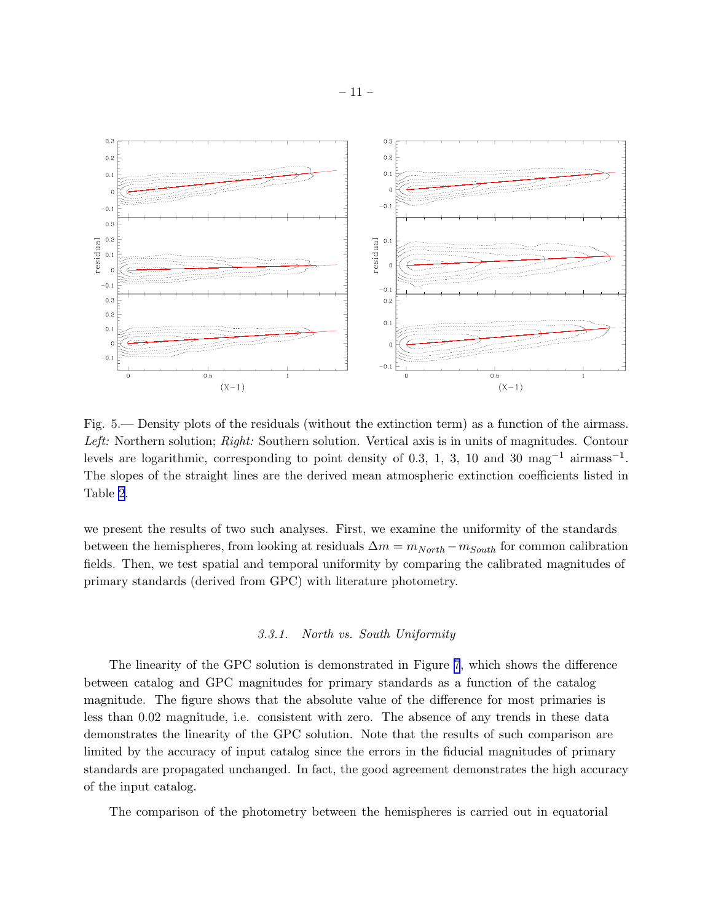<span id="page-12-0"></span>

Fig. 5.— Density plots of the residuals (without the extinction term) as a function of the airmass. *Left:* Northern solution; *Right:* Southern solution. Vertical axis is in units of magnitudes. Contour levels are logarithmic, corresponding to point density of 0.3, 1, 3, 10 and 30  $\text{mag}^{-1}$  airmass<sup>-1</sup>. The slopes of the straight lines are the derived mean atmospheric extinction coefficients listed in Table [2](#page-11-0).

we present the results of two such analyses. First, we examine the uniformity of the standards between the hemispheres, from looking at residuals  $\Delta m = m_{North} - m_{South}$  for common calibration fields. Then, we test spatial and temporal uniformity by comparing the calibrated magnitudes of primary standards (derived from GPC) with literature photometry.

# *3.3.1. North vs. South Uniformity*

The linearity of the GPC solution is demonstrated in Figure [7](#page-14-0), which shows the difference between catalog and GPC magnitudes for primary standards as a function of the catalog magnitude. The figure shows that the absolute value of the difference for most primaries is less than 0.02 magnitude, i.e. consistent with zero. The absence of any trends in these data demonstrates the linearity of the GPC solution. Note that the results of such comparison are limited by the accuracy of input catalog since the errors in the fiducial magnitudes of primary standards are propagated unchanged. In fact, the good agreement demonstrates the high accuracy of the input catalog.

The comparison of the photometry between the hemispheres is carried out in equatorial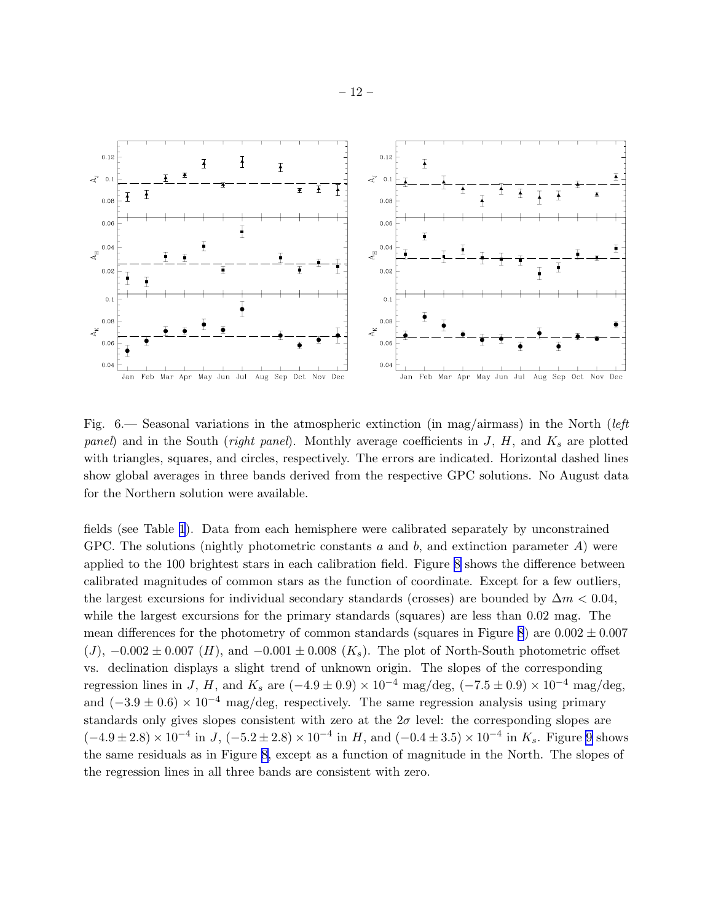<span id="page-13-0"></span>

Fig. 6.— Seasonal variations in the atmospheric extinction (in mag/airmass) in the North (*left panel*) and in the South (*right panel*). Monthly average coefficients in  $J$ ,  $H$ , and  $K_s$  are plotted with triangles, squares, and circles, respectively. The errors are indicated. Horizontal dashed lines show global averages in three bands derived from the respective GPC solutions. No August data for the Northern solution were available.

fields (see Table [1](#page-4-0)). Data from each hemisphere were calibrated separately by unconstrained GPC. The solutions (nightly photometric constants a and b, and extinction parameter  $A$ ) were applied to the 100 brightest stars in each calibration field. Figure [8](#page-15-0) shows the difference between calibrated magnitudes of common stars as the function of coordinate. Except for a few outliers, the largest excursions for individual secondary standards (crosses) are bounded by  $\Delta m < 0.04$ , while the largest excursions for the primary standards (squares) are less than 0.02 mag. The mean differences for the photometry of common standards (squares in Figure [8](#page-15-0)) are  $0.002 \pm 0.007$  $(J)$ ,  $-0.002 \pm 0.007$  (H), and  $-0.001 \pm 0.008$  (K<sub>s</sub>). The plot of North-South photometric offset vs. declination displays a slight trend of unknown origin. The slopes of the corresponding regression lines in J, H, and  $K_s$  are  $(-4.9 \pm 0.9) \times 10^{-4}$  mag/deg,  $(-7.5 \pm 0.9) \times 10^{-4}$  mag/deg, and  $(-3.9 \pm 0.6) \times 10^{-4}$  mag/deg, respectively. The same regression analysis using primary standards only gives slopes consistent with zero at the  $2\sigma$  level: the corresponding slopes are  $(-4.9 \pm 2.8) \times 10^{-4}$  in J,  $(-5.2 \pm 2.8) \times 10^{-4}$  in H, and  $(-0.4 \pm 3.5) \times 10^{-4}$  in  $K_s$ . Figure [9](#page-16-0) shows the same residuals as in Figure [8](#page-15-0), except as a function of magnitude in the North. The slopes of the regression lines in all three bands are consistent with zero.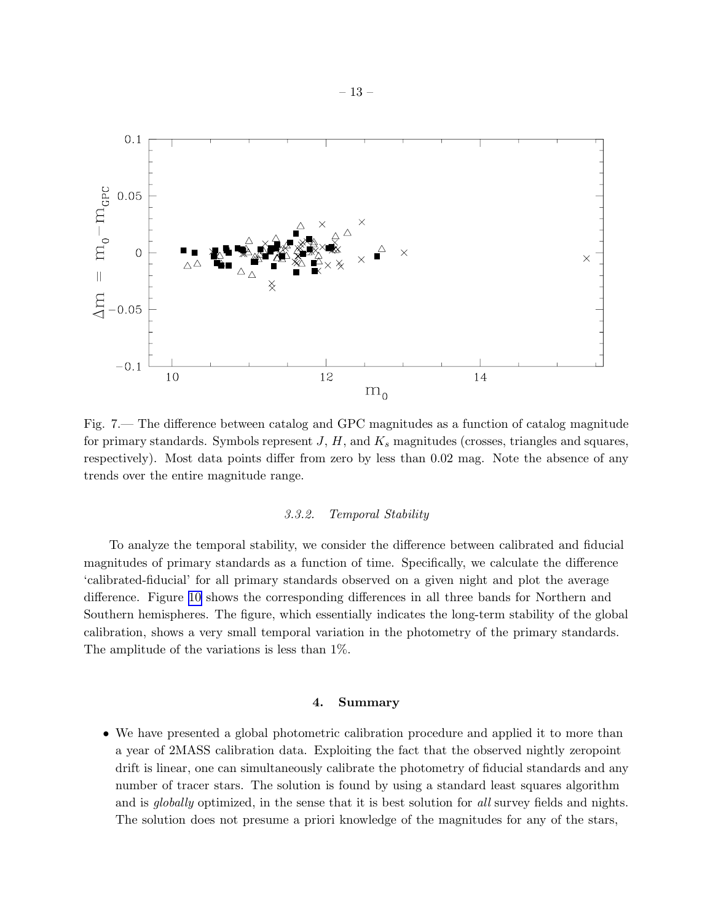<span id="page-14-0"></span>

Fig. 7.— The difference between catalog and GPC magnitudes as a function of catalog magnitude for primary standards. Symbols represent  $J, H$ , and  $K_s$  magnitudes (crosses, triangles and squares, respectively). Most data points differ from zero by less than 0.02 mag. Note the absence of any trends over the entire magnitude range.

# *3.3.2. Temporal Stability*

To analyze the temporal stability, we consider the difference between calibrated and fiducial magnitudes of primary standards as a function of time. Specifically, we calculate the difference 'calibrated-fiducial' for all primary standards observed on a given night and plot the average difference. Figure [10](#page-17-0) shows the corresponding differences in all three bands for Northern and Southern hemispheres. The figure, which essentially indicates the long-term stability of the global calibration, shows a very small temporal variation in the photometry of the primary standards. The amplitude of the variations is less than 1%.

# 4. Summary

• We have presented a global photometric calibration procedure and applied it to more than a year of 2MASS calibration data. Exploiting the fact that the observed nightly zeropoint drift is linear, one can simultaneously calibrate the photometry of fiducial standards and any number of tracer stars. The solution is found by using a standard least squares algorithm and is *globally* optimized, in the sense that it is best solution for *all* survey fields and nights. The solution does not presume a priori knowledge of the magnitudes for any of the stars,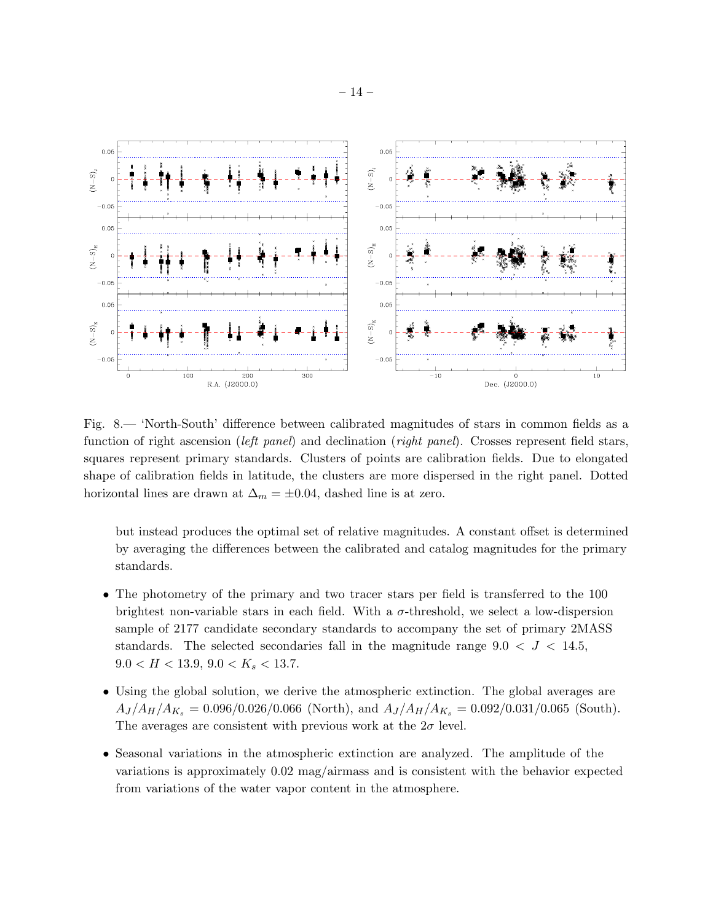<span id="page-15-0"></span>

Fig. 8.— 'North-South' difference between calibrated magnitudes of stars in common fields as a function of right ascension (*left panel*) and declination (*right panel*). Crosses represent field stars, squares represent primary standards. Clusters of points are calibration fields. Due to elongated shape of calibration fields in latitude, the clusters are more dispersed in the right panel. Dotted horizontal lines are drawn at  $\Delta_m = \pm 0.04$ , dashed line is at zero.

but instead produces the optimal set of relative magnitudes. A constant offset is determined by averaging the differences between the calibrated and catalog magnitudes for the primary standards.

- The photometry of the primary and two tracer stars per field is transferred to the 100 brightest non-variable stars in each field. With a  $\sigma$ -threshold, we select a low-dispersion sample of 2177 candidate secondary standards to accompany the set of primary 2MASS standards. The selected secondaries fall in the magnitude range  $9.0 \lt J \lt 14.5$ ,  $9.0 < H < 13.9, \, 9.0 < K_s < 13.7.$
- Using the global solution, we derive the atmospheric extinction. The global averages are  $A_J/A_H/A_{K_s} = 0.096/0.026/0.066$  (North), and  $A_J/A_H/A_{K_s} = 0.092/0.031/0.065$  (South). The averages are consistent with previous work at the  $2\sigma$  level.
- Seasonal variations in the atmospheric extinction are analyzed. The amplitude of the variations is approximately 0.02 mag/airmass and is consistent with the behavior expected from variations of the water vapor content in the atmosphere.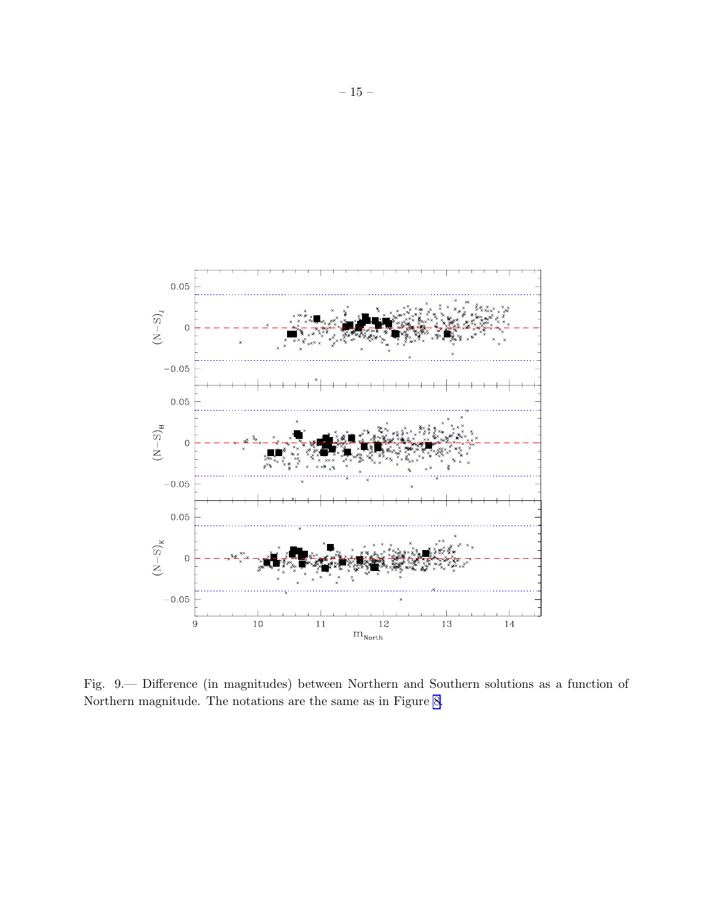<span id="page-16-0"></span>

Fig. 9.— Difference (in magnitudes) between Northern and Southern solutions as a function of Northern magnitude. The notations are the same as in Figure [8.](#page-15-0)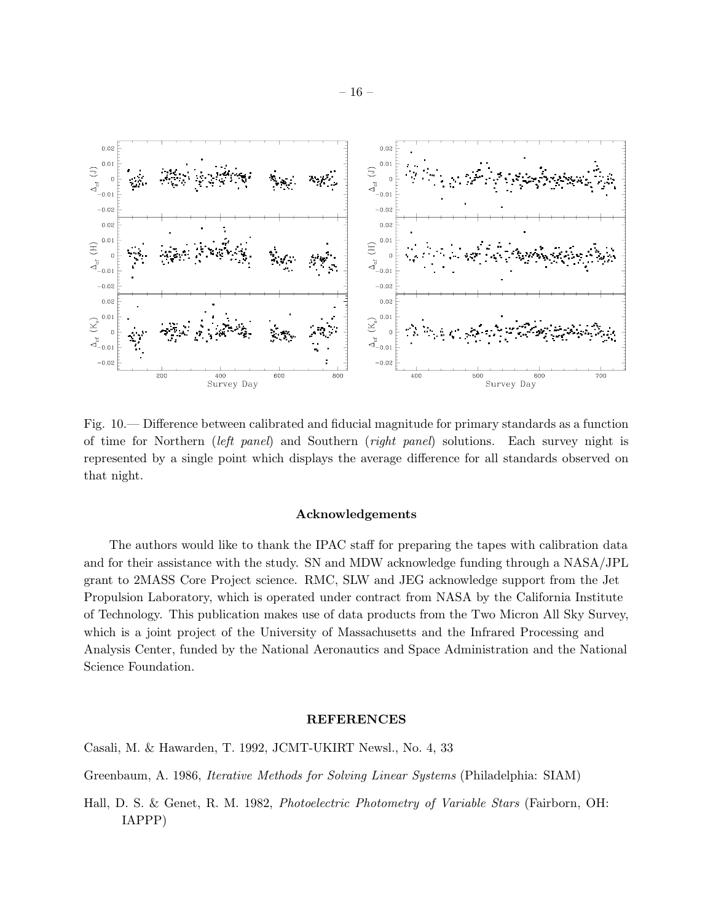<span id="page-17-0"></span>

Fig. 10.— Difference between calibrated and fiducial magnitude for primary standards as a function of time for Northern (*left panel*) and Southern (*right panel*) solutions. Each survey night is represented by a single point which displays the average difference for all standards observed on that night.

#### Acknowledgements

The authors would like to thank the IPAC staff for preparing the tapes with calibration data and for their assistance with the study. SN and MDW acknowledge funding through a NASA/JPL grant to 2MASS Core Project science. RMC, SLW and JEG acknowledge support from the Jet Propulsion Laboratory, which is operated under contract from NASA by the California Institute of Technology. This publication makes use of data products from the Two Micron All Sky Survey, which is a joint project of the University of Massachusetts and the Infrared Processing and Analysis Center, funded by the National Aeronautics and Space Administration and the National Science Foundation.

# REFERENCES

Casali, M. & Hawarden, T. 1992, JCMT-UKIRT Newsl., No. 4, 33

Greenbaum, A. 1986, *Iterative Methods for Solving Linear Systems* (Philadelphia: SIAM)

Hall, D. S. & Genet, R. M. 1982, *Photoelectric Photometry of Variable Stars* (Fairborn, OH: IAPPP)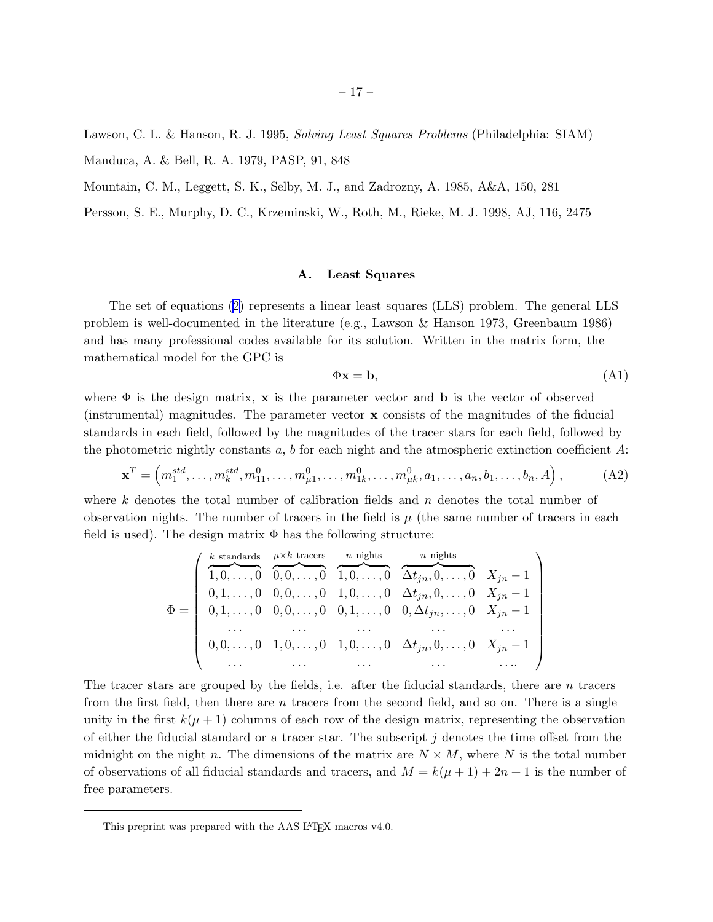<span id="page-18-0"></span>Lawson, C. L. & Hanson, R. J. 1995, *Solving Least Squares Problems* (Philadelphia: SIAM)

Manduca, A. & Bell, R. A. 1979, PASP, 91, 848

Mountain, C. M., Leggett, S. K., Selby, M. J., and Zadrozny, A. 1985, A&A, 150, 281

Persson, S. E., Murphy, D. C., Krzeminski, W., Roth, M., Rieke, M. J. 1998, AJ, 116, 2475

#### A. Least Squares

The set of equations [\(2\)](#page-5-0) represents a linear least squares (LLS) problem. The general LLS problem is well-documented in the literature (e.g., Lawson & Hanson 1973, Greenbaum 1986) and has many professional codes available for its solution. Written in the matrix form, the mathematical model for the GPC is

$$
\Phi \mathbf{x} = \mathbf{b},\tag{A1}
$$

where  $\Phi$  is the design matrix, **x** is the parameter vector and **b** is the vector of observed (instrumental) magnitudes. The parameter vector x consists of the magnitudes of the fiducial standards in each field, followed by the magnitudes of the tracer stars for each field, followed by the photometric nightly constants a, b for each night and the atmospheric extinction coefficient  $A$ :

$$
\mathbf{x}^T = \left( m_1^{std}, \dots, m_k^{std}, m_{11}^0, \dots, m_{\mu 1}^0, \dots, m_{1k}^0, \dots, m_{\mu k}^0, a_1, \dots, a_n, b_1, \dots, b_n, A \right),
$$
 (A2)

where  $k$  denotes the total number of calibration fields and  $n$  denotes the total number of observation nights. The number of tracers in the field is  $\mu$  (the same number of tracers in each field is used). The design matrix  $\Phi$  has the following structure:

$$
\Phi = \left(\begin{array}{cccccc} k \text{ standards} & \mu \times k \text{ tracers} & n \text{ nights} & n \text{ nights} \\ \overbrace{1,0,\ldots,0} & \overbrace{0,0,\ldots,0} & \overbrace{1,0,\ldots,0} & \overbrace{\Delta t_{jn},0,\ldots,0} & X_{jn}-1 \\ 0,1,\ldots,0 & 0,0,\ldots,0 & 1,0,\ldots,0 & \Delta t_{jn},0,\ldots,0 & X_{jn}-1 \\ 0,1,\ldots,0 & 0,0,\ldots,0 & 0,1,\ldots,0 & 0, \Delta t_{jn},\ldots,0 & X_{jn}-1 \\ \ldots & \ldots & \ldots & \ldots & \ldots & \ldots \\ 0,0,\ldots,0 & 1,0,\ldots,0 & 1,0,\ldots,0 & \Delta t_{jn},0,\ldots,0 & X_{jn}-1 \\ \ldots & \ldots & \ldots & \ldots & \ldots & \ldots \end{array}\right)
$$

The tracer stars are grouped by the fields, i.e. after the fiducial standards, there are n tracers from the first field, then there are  $n$  tracers from the second field, and so on. There is a single unity in the first  $k(\mu+1)$  columns of each row of the design matrix, representing the observation of either the fiducial standard or a tracer star. The subscript  $j$  denotes the time offset from the midnight on the night n. The dimensions of the matrix are  $N \times M$ , where N is the total number of observations of all fiducial standards and tracers, and  $M = k(\mu + 1) + 2n + 1$  is the number of free parameters.

This preprint was prepared with the AAS L<sup>AT</sup>EX macros v4.0.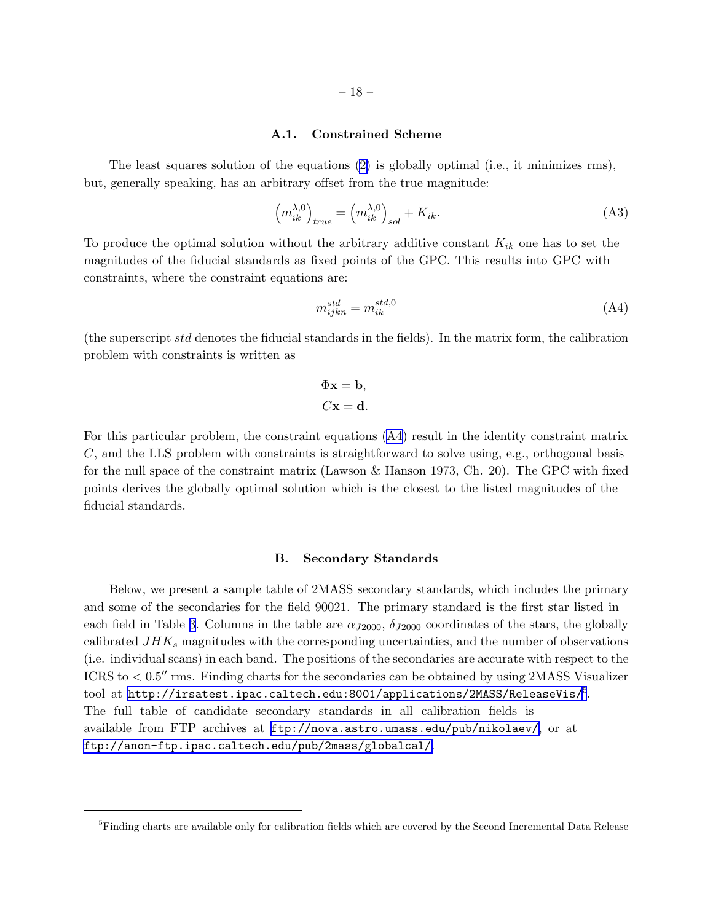#### A.1. Constrained Scheme

<span id="page-19-0"></span>The least squares solution of the equations [\(2\)](#page-5-0) is globally optimal (i.e., it minimizes rms), but, generally speaking, has an arbitrary offset from the true magnitude:

$$
\left(m_{ik}^{\lambda,0}\right)_{true} = \left(m_{ik}^{\lambda,0}\right)_{sol} + K_{ik}.\tag{A3}
$$

To produce the optimal solution without the arbitrary additive constant  $K_{ik}$  one has to set the magnitudes of the fiducial standards as fixed points of the GPC. This results into GPC with constraints, where the constraint equations are:

$$
m_{ijkn}^{std} = m_{ik}^{std,0} \tag{A4}
$$

(the superscript std denotes the fiducial standards in the fields). In the matrix form, the calibration problem with constraints is written as

$$
\Phi \mathbf{x} = \mathbf{b},
$$
  

$$
C\mathbf{x} = \mathbf{d}.
$$

For this particular problem, the constraint equations (A4) result in the identity constraint matrix C, and the LLS problem with constraints is straightforward to solve using, e.g., orthogonal basis for the null space of the constraint matrix (Lawson & Hanson 1973, Ch. 20). The GPC with fixed points derives the globally optimal solution which is the closest to the listed magnitudes of the fiducial standards.

#### B. Secondary Standards

Below, we present a sample table of 2MASS secondary standards, which includes the primary and some of the secondaries for the field 90021. The primary standard is the first star listed in each field in Table [3](#page-20-0). Columns in the table are  $\alpha_{J2000}$ ,  $\delta_{J2000}$  coordinates of the stars, the globally calibrated  $JHK<sub>s</sub>$  magnitudes with the corresponding uncertainties, and the number of observations (i.e. individual scans) in each band. The positions of the secondaries are accurate with respect to the ICRS to  $< 0.5''$  rms. Finding charts for the secondaries can be obtained by using 2MASS Visualizer  $\,$  tool at <code><http://irsatest.ipac.caltech.edu:8001/applications/2MASS/ReleaseVis/> $^5$ .</code> The full table of candidate secondary standards in all calibration fields is available from FTP archives at <ftp://nova.astro.umass.edu/pub/nikolaev/>, or at <ftp://anon-ftp.ipac.caltech.edu/pub/2mass/globalcal/>.

<sup>&</sup>lt;sup>5</sup>Finding charts are available only for calibration fields which are covered by the Second Incremental Data Release